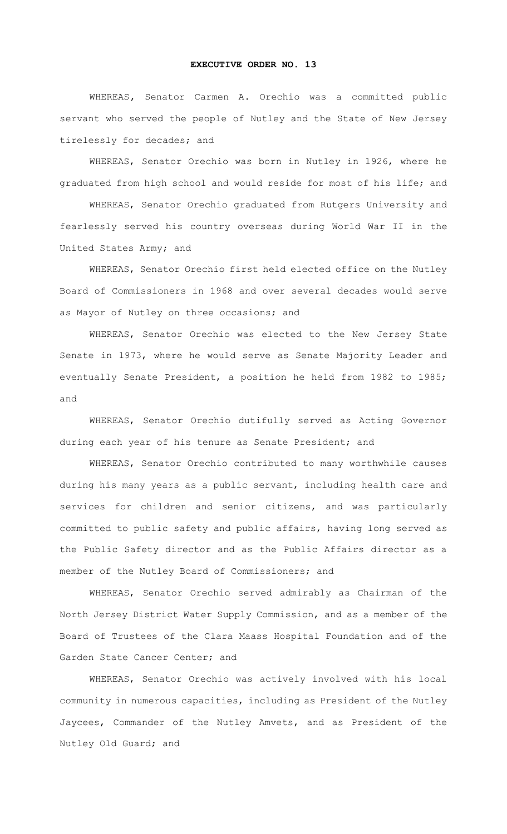## **EXECUTIVE ORDER NO. 13**

WHEREAS**,** Senator Carmen A. Orechio was a committed public servant who served the people of Nutley and the State of New Jersey tirelessly for decades; and

WHEREAS, Senator Orechio was born in Nutley in 1926, where he graduated from high school and would reside for most of his life; and

WHEREAS, Senator Orechio graduated from Rutgers University and fearlessly served his country overseas during World War II in the United States Army; and

WHEREAS, Senator Orechio first held elected office on the Nutley Board of Commissioners in 1968 and over several decades would serve as Mayor of Nutley on three occasions; and

WHEREAS, Senator Orechio was elected to the New Jersey State Senate in 1973, where he would serve as Senate Majority Leader and eventually Senate President, a position he held from 1982 to 1985; and

WHEREAS, Senator Orechio dutifully served as Acting Governor during each year of his tenure as Senate President; and

WHEREAS, Senator Orechio contributed to many worthwhile causes during his many years as a public servant, including health care and services for children and senior citizens, and was particularly committed to public safety and public affairs, having long served as the Public Safety director and as the Public Affairs director as a member of the Nutley Board of Commissioners; and

WHEREAS, Senator Orechio served admirably as Chairman of the North Jersey District Water Supply Commission, and as a member of the Board of Trustees of the Clara Maass Hospital Foundation and of the Garden State Cancer Center; and

WHEREAS, Senator Orechio was actively involved with his local community in numerous capacities, including as President of the Nutley Jaycees, Commander of the Nutley Amvets, and as President of the Nutley Old Guard; and